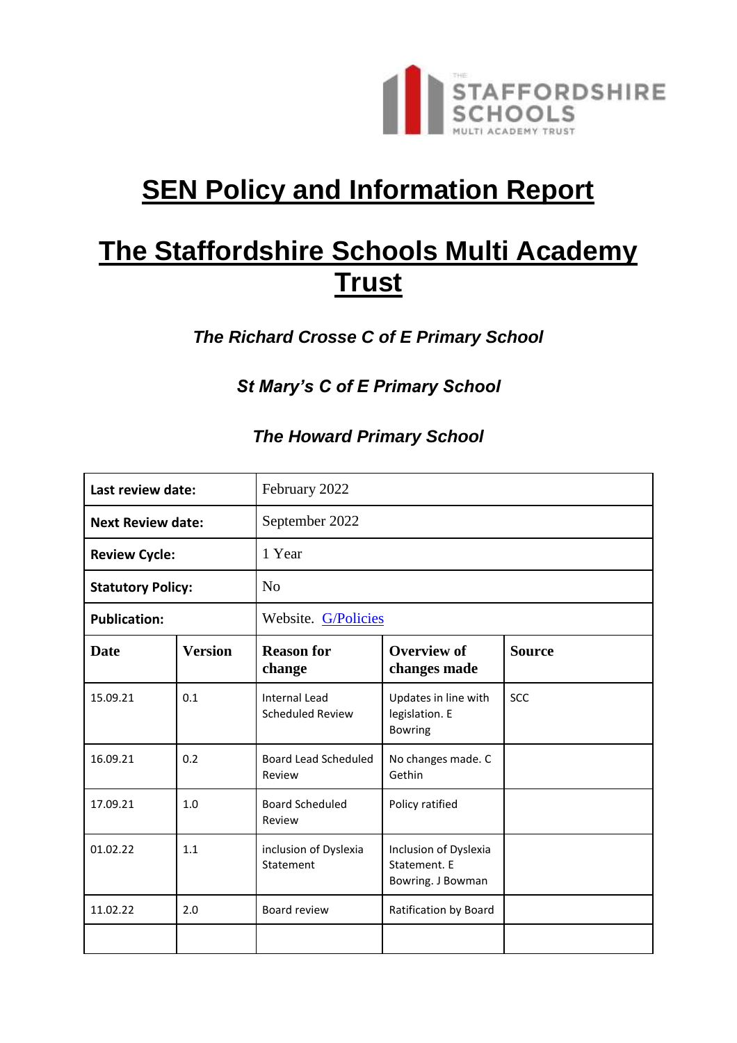

# **SEN Policy and Information Report**

# **The Staffordshire Schools Multi Academy Trust**

*The Richard Crosse C of E Primary School*

*St Mary's C of E Primary School*

# *The Howard Primary School*

| Last review date:        |                | February 2022                                   |                                                            |               |
|--------------------------|----------------|-------------------------------------------------|------------------------------------------------------------|---------------|
| <b>Next Review date:</b> |                | September 2022                                  |                                                            |               |
| <b>Review Cycle:</b>     |                | 1 Year                                          |                                                            |               |
| <b>Statutory Policy:</b> |                | N <sub>0</sub>                                  |                                                            |               |
| <b>Publication:</b>      |                | Website. G/Policies                             |                                                            |               |
| <b>Date</b>              | <b>Version</b> | <b>Reason for</b><br>change                     | <b>Overview of</b><br>changes made                         | <b>Source</b> |
| 15.09.21                 | 0.1            | <b>Internal Lead</b><br><b>Scheduled Review</b> | Updates in line with<br>legislation. E<br><b>Bowring</b>   | SCC           |
| 16.09.21                 | 0.2            | Board Lead Scheduled<br>Review                  | No changes made. C<br>Gethin                               |               |
| 17.09.21                 | 1.0            | <b>Board Scheduled</b><br>Review                | Policy ratified                                            |               |
| 01.02.22                 | 1.1            | inclusion of Dyslexia<br>Statement              | Inclusion of Dyslexia<br>Statement. E<br>Bowring. J Bowman |               |
| 11.02.22                 | 2.0            | Board review                                    | Ratification by Board                                      |               |
|                          |                |                                                 |                                                            |               |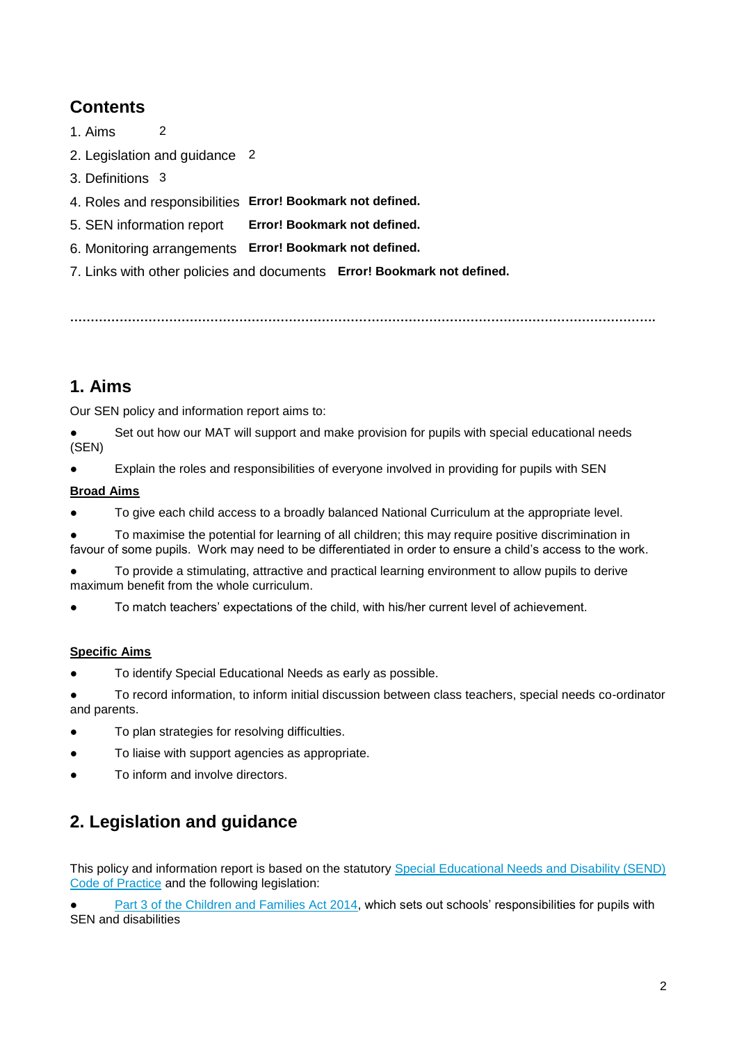# **Contents**

- 1. Aims 2
- 2. Legislation and guidance 2
- 3. Definitions 3
- 4. Roles and responsibilities **Error! Bookmark not defined.**
- 5. SEN information report **Error! Bookmark not defined.**
- 6. Monitoring arrangements **Error! Bookmark not defined.**
- 7. Links with other policies and documents **Error! Bookmark not defined.**

**…………………………………………………………………………………………………………………………….**

# **1. Aims**

Our SEN policy and information report aims to:

Set out how our MAT will support and make provision for pupils with special educational needs (SEN)

● Explain the roles and responsibilities of everyone involved in providing for pupils with SEN

### **Broad Aims**

- To give each child access to a broadly balanced National Curriculum at the appropriate level.
- To maximise the potential for learning of all children; this may require positive discrimination in favour of some pupils. Work may need to be differentiated in order to ensure a child's access to the work.

To provide a stimulating, attractive and practical learning environment to allow pupils to derive maximum benefit from the whole curriculum.

To match teachers' expectations of the child, with his/her current level of achievement.

### **Specific Aims**

To identify Special Educational Needs as early as possible.

To record information, to inform initial discussion between class teachers, special needs co-ordinator and parents.

- To plan strategies for resolving difficulties.
- To liaise with support agencies as appropriate.
- To inform and involve directors.

# **2. Legislation and guidance**

This policy and information report is based on the statutory [Special Educational Needs and Disability \(SEND\)](https://www.gov.uk/government/uploads/system/uploads/attachment_data/file/398815/SEND_Code_of_Practice_January_2015.pdf)  [Code of Practice](https://www.gov.uk/government/uploads/system/uploads/attachment_data/file/398815/SEND_Code_of_Practice_January_2015.pdf) and the following legislation:

[Part 3 of the Children and Families Act 2014,](http://www.legislation.gov.uk/ukpga/2014/6/part/3) which sets out schools' responsibilities for pupils with SEN and disabilities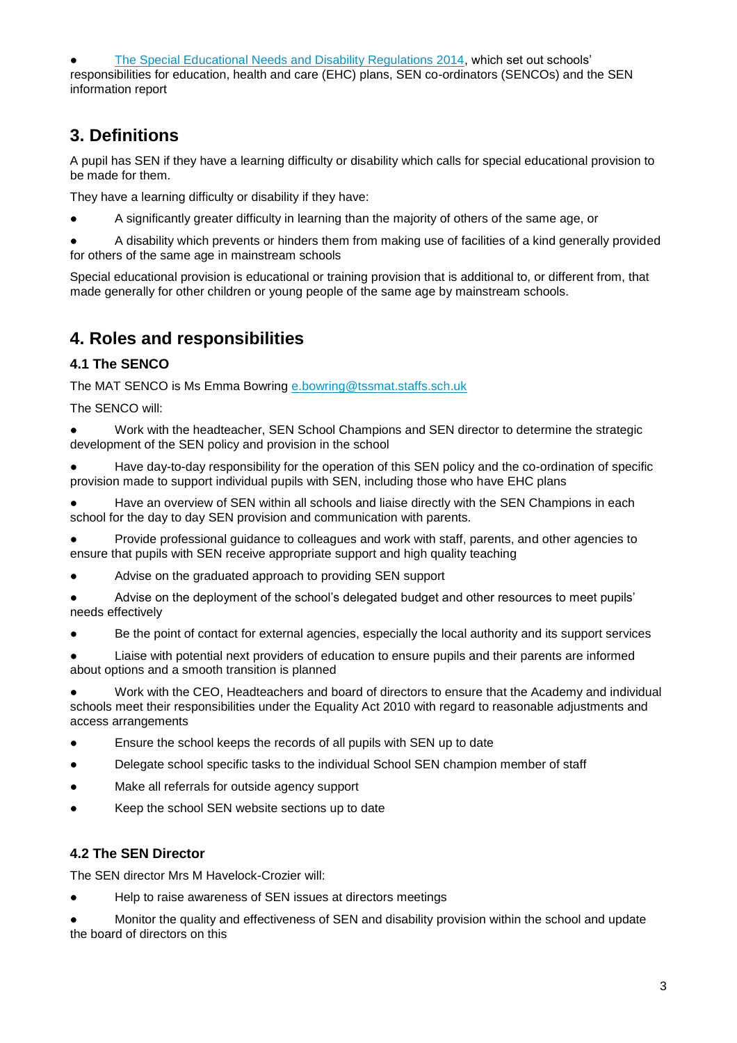[The Special Educational Needs and Disability Regulations 2014,](http://www.legislation.gov.uk/uksi/2014/1530/contents/made) which set out schools' responsibilities for education, health and care (EHC) plans, SEN co-ordinators (SENCOs) and the SEN information report

# **3. Definitions**

A pupil has SEN if they have a learning difficulty or disability which calls for special educational provision to be made for them.

They have a learning difficulty or disability if they have:

A significantly greater difficulty in learning than the majority of others of the same age, or

A disability which prevents or hinders them from making use of facilities of a kind generally provided for others of the same age in mainstream schools

Special educational provision is educational or training provision that is additional to, or different from, that made generally for other children or young people of the same age by mainstream schools.

# **4. Roles and responsibilities**

### **4.1 The SENCO**

The MAT SENCO is Ms Emma Bowring [e.bowring@tssmat.staffs.sch.uk](mailto:e.bowring@tssmat.staffs.sch.uk) 

The SENCO will:

● Work with the headteacher, SEN School Champions and SEN director to determine the strategic development of the SEN policy and provision in the school

Have day-to-day responsibility for the operation of this SEN policy and the co-ordination of specific provision made to support individual pupils with SEN, including those who have EHC plans

Have an overview of SEN within all schools and liaise directly with the SEN Champions in each school for the day to day SEN provision and communication with parents.

● Provide professional guidance to colleagues and work with staff, parents, and other agencies to ensure that pupils with SEN receive appropriate support and high quality teaching

Advise on the graduated approach to providing SEN support

Advise on the deployment of the school's delegated budget and other resources to meet pupils' needs effectively

Be the point of contact for external agencies, especially the local authority and its support services

Liaise with potential next providers of education to ensure pupils and their parents are informed about options and a smooth transition is planned

● Work with the CEO, Headteachers and board of directors to ensure that the Academy and individual schools meet their responsibilities under the Equality Act 2010 with regard to reasonable adjustments and access arrangements

- Ensure the school keeps the records of all pupils with SEN up to date
- Delegate school specific tasks to the individual School SEN champion member of staff
- Make all referrals for outside agency support
- Keep the school SEN website sections up to date

### **4.2 The SEN Director**

The SEN director Mrs M Havelock-Crozier will:

Help to raise awareness of SEN issues at directors meetings

Monitor the quality and effectiveness of SEN and disability provision within the school and update the board of directors on this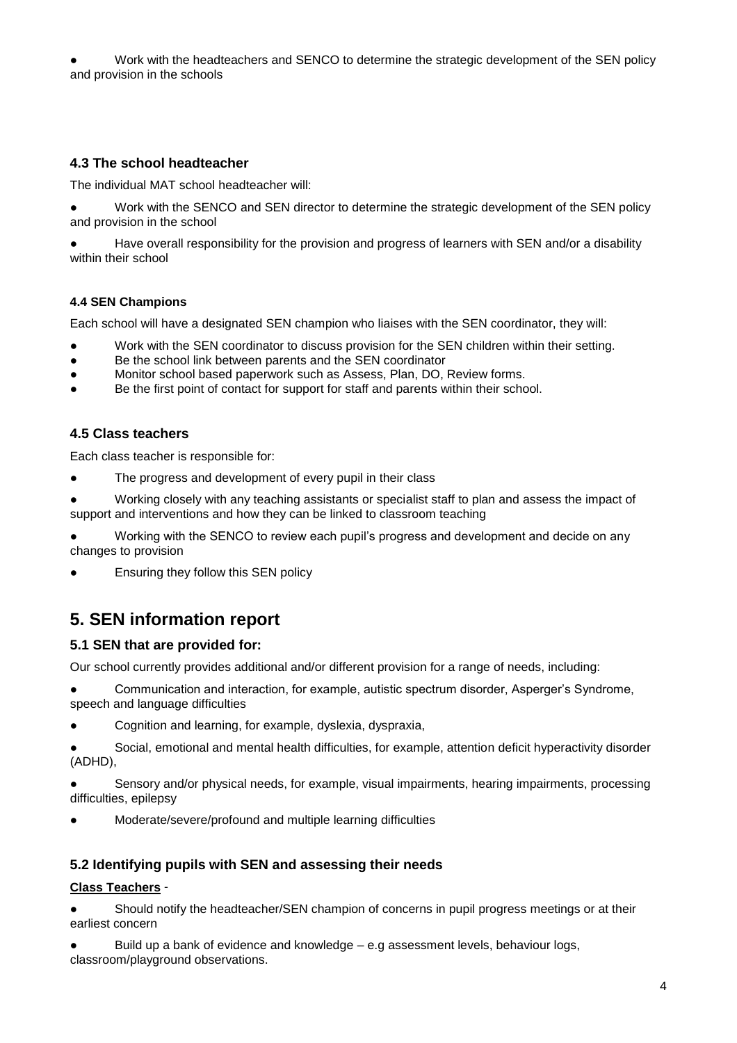Work with the headteachers and SENCO to determine the strategic development of the SEN policy and provision in the schools

### **4.3 The school headteacher**

The individual MAT school headteacher will:

● Work with the SENCO and SEN director to determine the strategic development of the SEN policy and provision in the school

Have overall responsibility for the provision and progress of learners with SEN and/or a disability within their school

#### **4.4 SEN Champions**

Each school will have a designated SEN champion who liaises with the SEN coordinator, they will:

- Work with the SEN coordinator to discuss provision for the SEN children within their setting.
- Be the school link between parents and the SEN coordinator
- Monitor school based paperwork such as Assess, Plan, DO, Review forms.
- Be the first point of contact for support for staff and parents within their school.

#### **4.5 Class teachers**

Each class teacher is responsible for:

- The progress and development of every pupil in their class
- Working closely with any teaching assistants or specialist staff to plan and assess the impact of support and interventions and how they can be linked to classroom teaching

Working with the SENCO to review each pupil's progress and development and decide on any changes to provision

Ensuring they follow this SEN policy

# **5. SEN information report**

#### **5.1 SEN that are provided for:**

Our school currently provides additional and/or different provision for a range of needs, including:

Communication and interaction, for example, autistic spectrum disorder, Asperger's Syndrome, speech and language difficulties

● Cognition and learning, for example, dyslexia, dyspraxia,

Social, emotional and mental health difficulties, for example, attention deficit hyperactivity disorder (ADHD),

Sensory and/or physical needs, for example, visual impairments, hearing impairments, processing difficulties, epilepsy

Moderate/severe/profound and multiple learning difficulties

#### **5.2 Identifying pupils with SEN and assessing their needs**

#### **Class Teachers** -

● Should notify the headteacher/SEN champion of concerns in pupil progress meetings or at their earliest concern

Build up a bank of evidence and knowledge  $-$  e.g assessment levels, behaviour logs, classroom/playground observations.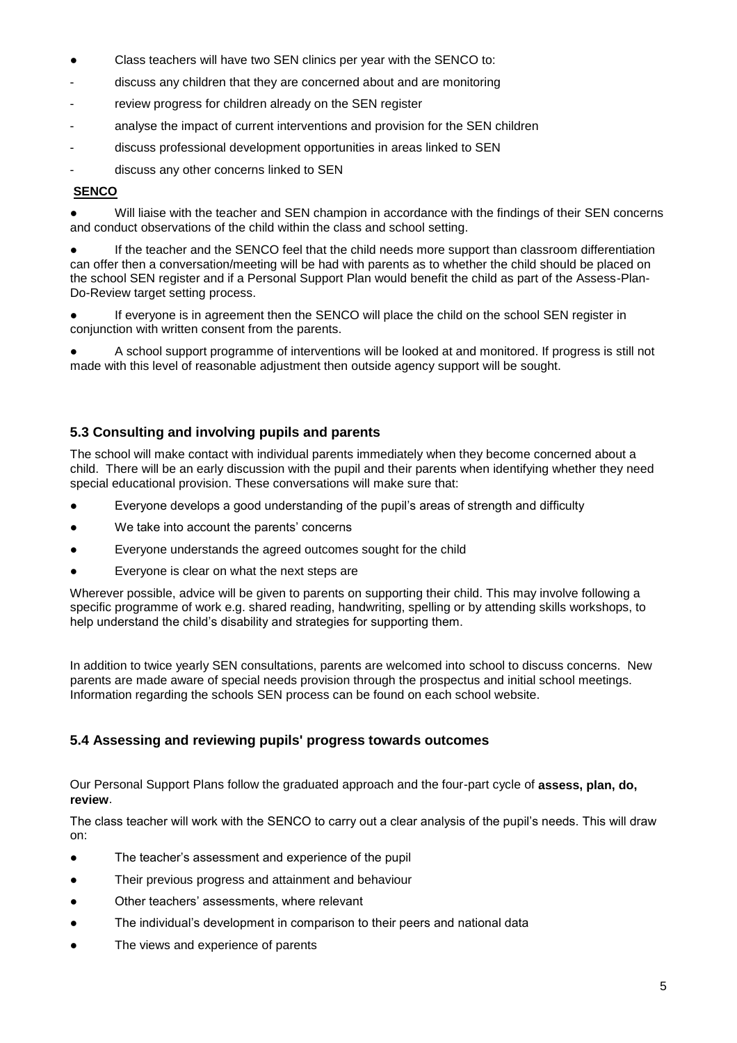- Class teachers will have two SEN clinics per year with the SENCO to:
- discuss any children that they are concerned about and are monitoring
- review progress for children already on the SEN register
- analyse the impact of current interventions and provision for the SEN children
- discuss professional development opportunities in areas linked to SEN
- discuss any other concerns linked to SEN

#### **SENCO**

Will liaise with the teacher and SEN champion in accordance with the findings of their SEN concerns and conduct observations of the child within the class and school setting.

If the teacher and the SENCO feel that the child needs more support than classroom differentiation can offer then a conversation/meeting will be had with parents as to whether the child should be placed on the school SEN register and if a Personal Support Plan would benefit the child as part of the Assess-Plan-Do-Review target setting process.

● If everyone is in agreement then the SENCO will place the child on the school SEN register in conjunction with written consent from the parents.

A school support programme of interventions will be looked at and monitored. If progress is still not made with this level of reasonable adjustment then outside agency support will be sought.

#### **5.3 Consulting and involving pupils and parents**

The school will make contact with individual parents immediately when they become concerned about a child. There will be an early discussion with the pupil and their parents when identifying whether they need special educational provision. These conversations will make sure that:

- Everyone develops a good understanding of the pupil's areas of strength and difficulty
- We take into account the parents' concerns
- Everyone understands the agreed outcomes sought for the child
- Everyone is clear on what the next steps are

Wherever possible, advice will be given to parents on supporting their child. This may involve following a specific programme of work e.g. shared reading, handwriting, spelling or by attending skills workshops, to help understand the child's disability and strategies for supporting them.

In addition to twice yearly SEN consultations, parents are welcomed into school to discuss concerns. New parents are made aware of special needs provision through the prospectus and initial school meetings. Information regarding the schools SEN process can be found on each school website.

#### **5.4 Assessing and reviewing pupils' progress towards outcomes**

Our Personal Support Plans follow the graduated approach and the four-part cycle of **assess, plan, do, review**.

The class teacher will work with the SENCO to carry out a clear analysis of the pupil's needs. This will draw on:

- The teacher's assessment and experience of the pupil
- Their previous progress and attainment and behaviour
- Other teachers' assessments, where relevant
- The individual's development in comparison to their peers and national data
- The views and experience of parents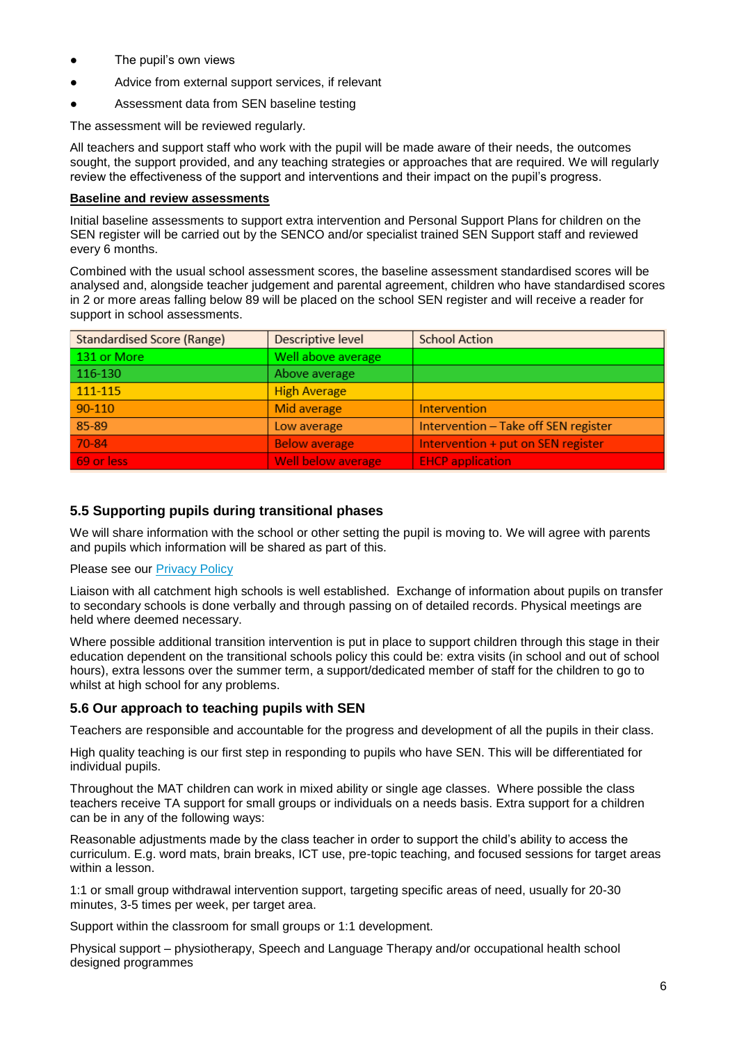- The pupil's own views
- Advice from external support services, if relevant
- Assessment data from SEN baseline testing

The assessment will be reviewed regularly.

All teachers and support staff who work with the pupil will be made aware of their needs, the outcomes sought, the support provided, and any teaching strategies or approaches that are required. We will regularly review the effectiveness of the support and interventions and their impact on the pupil's progress.

#### **Baseline and review assessments**

Initial baseline assessments to support extra intervention and Personal Support Plans for children on the SEN register will be carried out by the SENCO and/or specialist trained SEN Support staff and reviewed every 6 months.

Combined with the usual school assessment scores, the baseline assessment standardised scores will be analysed and, alongside teacher judgement and parental agreement, children who have standardised scores in 2 or more areas falling below 89 will be placed on the school SEN register and will receive a reader for support in school assessments.

| <b>Standardised Score (Range)</b> | Descriptive level    | <b>School Action</b>                 |  |
|-----------------------------------|----------------------|--------------------------------------|--|
| 131 or More                       | Well above average   |                                      |  |
| 116-130                           | Above average        |                                      |  |
| 111-115                           | <b>High Average</b>  |                                      |  |
| $90 - 110$                        | Mid average          | Intervention                         |  |
| 85-89                             | Low average          | Intervention - Take off SEN register |  |
| 70-84                             | <b>Below average</b> | Intervention + put on SEN register   |  |
| 69 or less                        | Well below average   | <b>EHCP</b> application              |  |

#### **5.5 Supporting pupils during transitional phases**

We will share information with the school or other setting the pupil is moving to. We will agree with parents and pupils which information will be shared as part of this.

#### Please see our [Privacy Policy](https://www.tssmat.staffs.sch.uk/privacy-policy)

Liaison with all catchment high schools is well established. Exchange of information about pupils on transfer to secondary schools is done verbally and through passing on of detailed records. Physical meetings are held where deemed necessary.

Where possible additional transition intervention is put in place to support children through this stage in their education dependent on the transitional schools policy this could be: extra visits (in school and out of school hours), extra lessons over the summer term, a support/dedicated member of staff for the children to go to whilst at high school for any problems.

#### **5.6 Our approach to teaching pupils with SEN**

Teachers are responsible and accountable for the progress and development of all the pupils in their class.

High quality teaching is our first step in responding to pupils who have SEN. This will be differentiated for individual pupils.

Throughout the MAT children can work in mixed ability or single age classes. Where possible the class teachers receive TA support for small groups or individuals on a needs basis. Extra support for a children can be in any of the following ways:

Reasonable adjustments made by the class teacher in order to support the child's ability to access the curriculum. E.g. word mats, brain breaks, ICT use, pre-topic teaching, and focused sessions for target areas within a lesson.

1:1 or small group withdrawal intervention support, targeting specific areas of need, usually for 20-30 minutes, 3-5 times per week, per target area.

Support within the classroom for small groups or 1:1 development.

Physical support – physiotherapy, Speech and Language Therapy and/or occupational health school designed programmes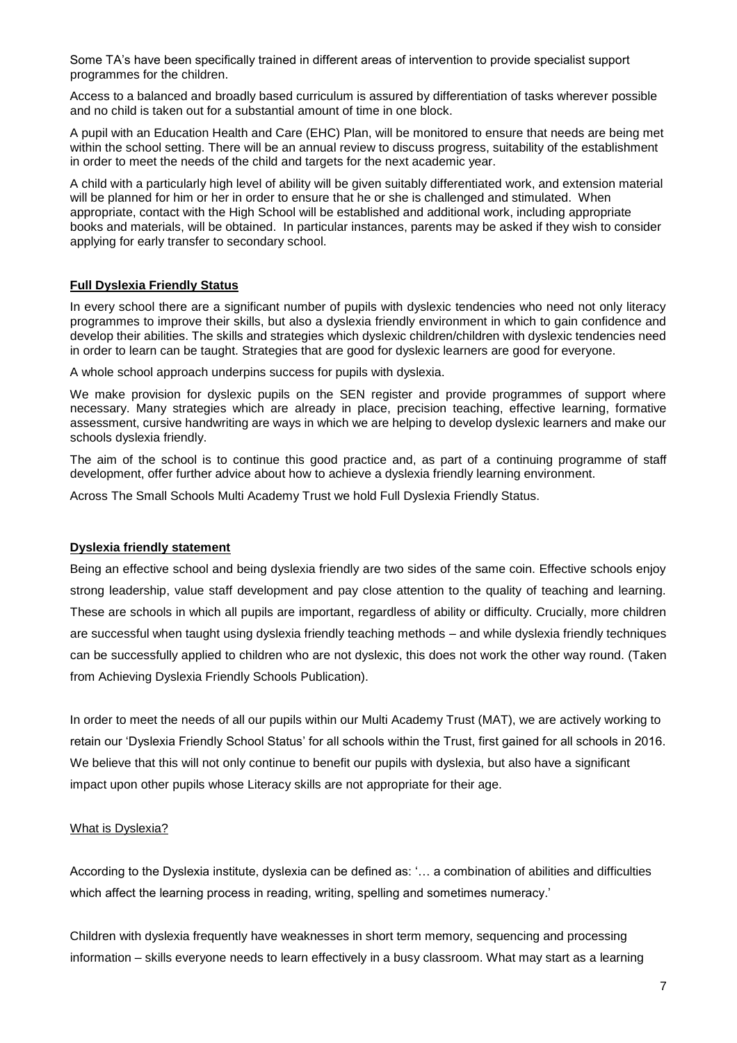Some TA's have been specifically trained in different areas of intervention to provide specialist support programmes for the children.

Access to a balanced and broadly based curriculum is assured by differentiation of tasks wherever possible and no child is taken out for a substantial amount of time in one block.

A pupil with an Education Health and Care (EHC) Plan, will be monitored to ensure that needs are being met within the school setting. There will be an annual review to discuss progress, suitability of the establishment in order to meet the needs of the child and targets for the next academic year.

A child with a particularly high level of ability will be given suitably differentiated work, and extension material will be planned for him or her in order to ensure that he or she is challenged and stimulated. When appropriate, contact with the High School will be established and additional work, including appropriate books and materials, will be obtained. In particular instances, parents may be asked if they wish to consider applying for early transfer to secondary school.

#### **Full Dyslexia Friendly Status**

In every school there are a significant number of pupils with dyslexic tendencies who need not only literacy programmes to improve their skills, but also a dyslexia friendly environment in which to gain confidence and develop their abilities. The skills and strategies which dyslexic children/children with dyslexic tendencies need in order to learn can be taught. Strategies that are good for dyslexic learners are good for everyone.

A whole school approach underpins success for pupils with dyslexia.

We make provision for dyslexic pupils on the SEN register and provide programmes of support where necessary. Many strategies which are already in place, precision teaching, effective learning, formative assessment, cursive handwriting are ways in which we are helping to develop dyslexic learners and make our schools dyslexia friendly.

The aim of the school is to continue this good practice and, as part of a continuing programme of staff development, offer further advice about how to achieve a dyslexia friendly learning environment.

Across The Small Schools Multi Academy Trust we hold Full Dyslexia Friendly Status.

#### **Dyslexia friendly statement**

Being an effective school and being dyslexia friendly are two sides of the same coin. Effective schools enjoy strong leadership, value staff development and pay close attention to the quality of teaching and learning. These are schools in which all pupils are important, regardless of ability or difficulty. Crucially, more children are successful when taught using dyslexia friendly teaching methods – and while dyslexia friendly techniques can be successfully applied to children who are not dyslexic, this does not work the other way round. (Taken from Achieving Dyslexia Friendly Schools Publication).

In order to meet the needs of all our pupils within our Multi Academy Trust (MAT), we are actively working to retain our 'Dyslexia Friendly School Status' for all schools within the Trust, first gained for all schools in 2016. We believe that this will not only continue to benefit our pupils with dyslexia, but also have a significant impact upon other pupils whose Literacy skills are not appropriate for their age.

#### What is Dyslexia?

According to the Dyslexia institute, dyslexia can be defined as: '… a combination of abilities and difficulties which affect the learning process in reading, writing, spelling and sometimes numeracy.'

Children with dyslexia frequently have weaknesses in short term memory, sequencing and processing information – skills everyone needs to learn effectively in a busy classroom. What may start as a learning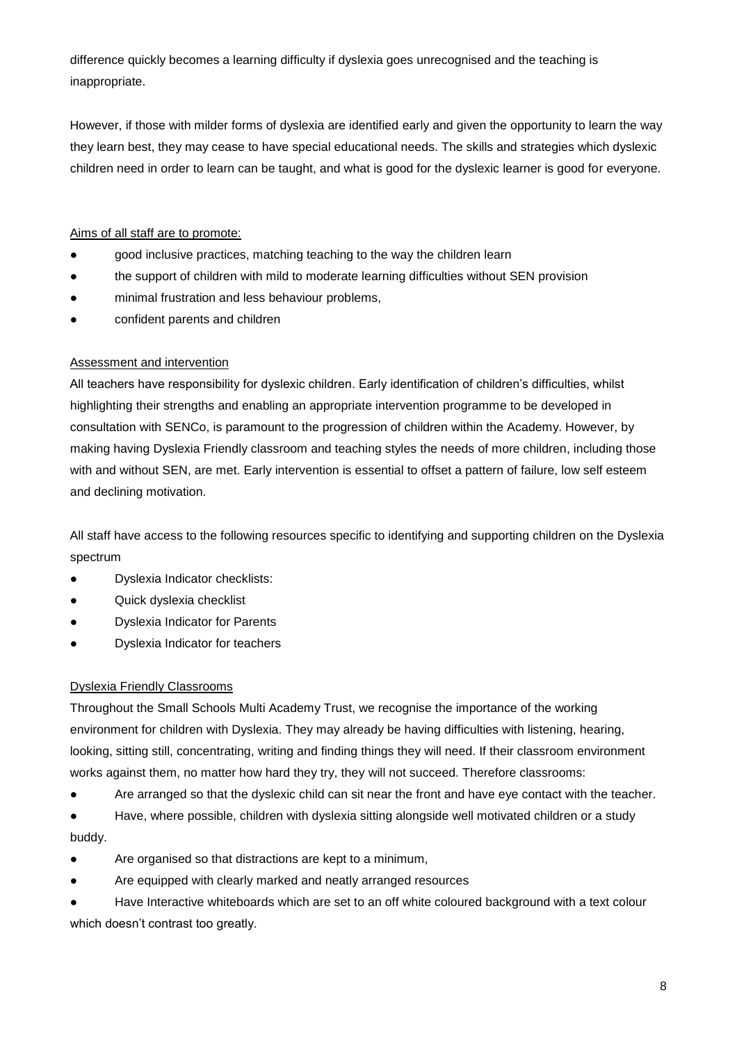difference quickly becomes a learning difficulty if dyslexia goes unrecognised and the teaching is inappropriate.

However, if those with milder forms of dyslexia are identified early and given the opportunity to learn the way they learn best, they may cease to have special educational needs. The skills and strategies which dyslexic children need in order to learn can be taught, and what is good for the dyslexic learner is good for everyone.

### Aims of all staff are to promote:

- good inclusive practices, matching teaching to the way the children learn
- the support of children with mild to moderate learning difficulties without SEN provision
- minimal frustration and less behaviour problems,
- confident parents and children

#### Assessment and intervention

All teachers have responsibility for dyslexic children. Early identification of children's difficulties, whilst highlighting their strengths and enabling an appropriate intervention programme to be developed in consultation with SENCo, is paramount to the progression of children within the Academy. However, by making having Dyslexia Friendly classroom and teaching styles the needs of more children, including those with and without SEN, are met. Early intervention is essential to offset a pattern of failure, low self esteem and declining motivation.

All staff have access to the following resources specific to identifying and supporting children on the Dyslexia spectrum

- Dyslexia Indicator checklists:
- Quick dyslexia checklist
- **Dyslexia Indicator for Parents**
- **Dyslexia Indicator for teachers**

#### Dyslexia Friendly Classrooms

Throughout the Small Schools Multi Academy Trust, we recognise the importance of the working environment for children with Dyslexia. They may already be having difficulties with listening, hearing, looking, sitting still, concentrating, writing and finding things they will need. If their classroom environment works against them, no matter how hard they try, they will not succeed. Therefore classrooms:

● Are arranged so that the dyslexic child can sit near the front and have eye contact with the teacher.

● Have, where possible, children with dyslexia sitting alongside well motivated children or a study buddy.

- Are organised so that distractions are kept to a minimum,
- Are equipped with clearly marked and neatly arranged resources

Have Interactive whiteboards which are set to an off white coloured background with a text colour which doesn't contrast too greatly.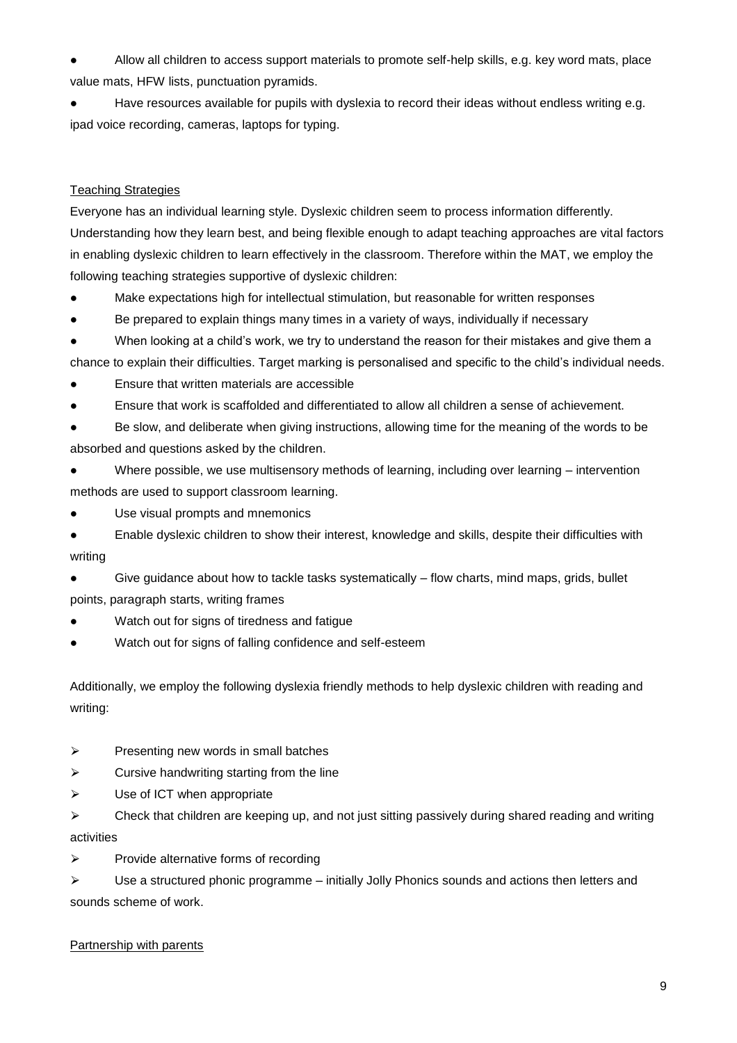Allow all children to access support materials to promote self-help skills, e.g. key word mats, place value mats, HFW lists, punctuation pyramids.

Have resources available for pupils with dyslexia to record their ideas without endless writing e.g. ipad voice recording, cameras, laptops for typing.

### Teaching Strategies

Everyone has an individual learning style. Dyslexic children seem to process information differently. Understanding how they learn best, and being flexible enough to adapt teaching approaches are vital factors in enabling dyslexic children to learn effectively in the classroom. Therefore within the MAT, we employ the following teaching strategies supportive of dyslexic children:

Make expectations high for intellectual stimulation, but reasonable for written responses

● Be prepared to explain things many times in a variety of ways, individually if necessary

● When looking at a child's work, we try to understand the reason for their mistakes and give them a

chance to explain their difficulties. Target marking is personalised and specific to the child's individual needs.

- Ensure that written materials are accessible
- Ensure that work is scaffolded and differentiated to allow all children a sense of achievement.

● Be slow, and deliberate when giving instructions, allowing time for the meaning of the words to be absorbed and questions asked by the children.

● Where possible, we use multisensory methods of learning, including over learning – intervention methods are used to support classroom learning.

● Use visual prompts and mnemonics

● Enable dyslexic children to show their interest, knowledge and skills, despite their difficulties with writing

● Give guidance about how to tackle tasks systematically – flow charts, mind maps, grids, bullet points, paragraph starts, writing frames

- Watch out for signs of tiredness and fatigue
- Watch out for signs of falling confidence and self-esteem

Additionally, we employ the following dyslexia friendly methods to help dyslexic children with reading and writing:

- $\triangleright$  Presenting new words in small batches
- $\triangleright$  Cursive handwriting starting from the line
- $\triangleright$  Use of ICT when appropriate

 $\triangleright$  Check that children are keeping up, and not just sitting passively during shared reading and writing activities

⮚ Provide alternative forms of recording

 $\triangleright$  Use a structured phonic programme – initially Jolly Phonics sounds and actions then letters and sounds scheme of work.

#### Partnership with parents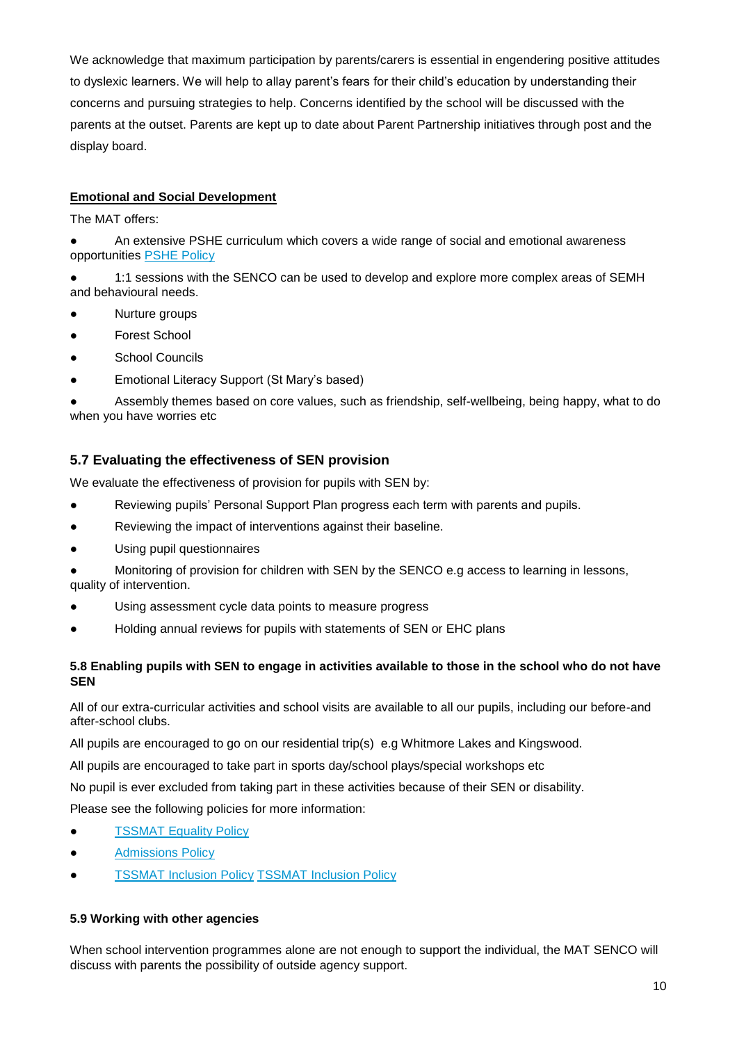We acknowledge that maximum participation by parents/carers is essential in engendering positive attitudes to dyslexic learners. We will help to allay parent's fears for their child's education by understanding their concerns and pursuing strategies to help. Concerns identified by the school will be discussed with the parents at the outset. Parents are kept up to date about Parent Partnership initiatives through post and the display board.

#### **Emotional and Social Development**

The MAT offers:

- An extensive PSHE curriculum which covers a wide range of social and emotional awareness opportunities **PSHE Policy**
- 1:1 sessions with the SENCO can be used to develop and explore more complex areas of SEMH and behavioural needs.
- Nurture groups
- Forest School
- School Councils
- Emotional Literacy Support (St Mary's based)

Assembly themes based on core values, such as friendship, self-wellbeing, being happy, what to do when you have worries etc

### **5.7 Evaluating the effectiveness of SEN provision**

We evaluate the effectiveness of provision for pupils with SEN by:

- Reviewing pupils' Personal Support Plan progress each term with parents and pupils.
- Reviewing the impact of interventions against their baseline.
- Using pupil questionnaires
- Monitoring of provision for children with SEN by the SENCO e.g access to learning in lessons, quality of intervention.
- Using assessment cycle data points to measure progress
- Holding annual reviews for pupils with statements of SEN or EHC plans

#### **5.8 Enabling pupils with SEN to engage in activities available to those in the school who do not have SEN**

All of our extra-curricular activities and school visits are available to all our pupils, including our before-and after-school clubs.

All pupils are encouraged to go on our residential trip(s) e.g Whitmore Lakes and Kingswood.

All pupils are encouraged to take part in sports day/school plays/special workshops etc

No pupil is ever excluded from taking part in these activities because of their SEN or disability.

Please see the following policies for more information:

- **[TSSMAT Equality Policy](https://www.tssmat.staffs.sch.uk/admin/ckfinder/userfiles/files/Equality%20Policy(2).pdf)**
- **[Admissions Policy](http://www.tssmat.staffs.sch.uk/admissions)**
- **[TSSMAT Inclusion Policy](https://www.tssmat.staffs.sch.uk/admin/ckfinder/userfiles/files/Inclusion%20Policy.doc) TSSMAT Inclusion Policy**

#### **5.9 Working with other agencies**

When school intervention programmes alone are not enough to support the individual, the MAT SENCO will discuss with parents the possibility of outside agency support.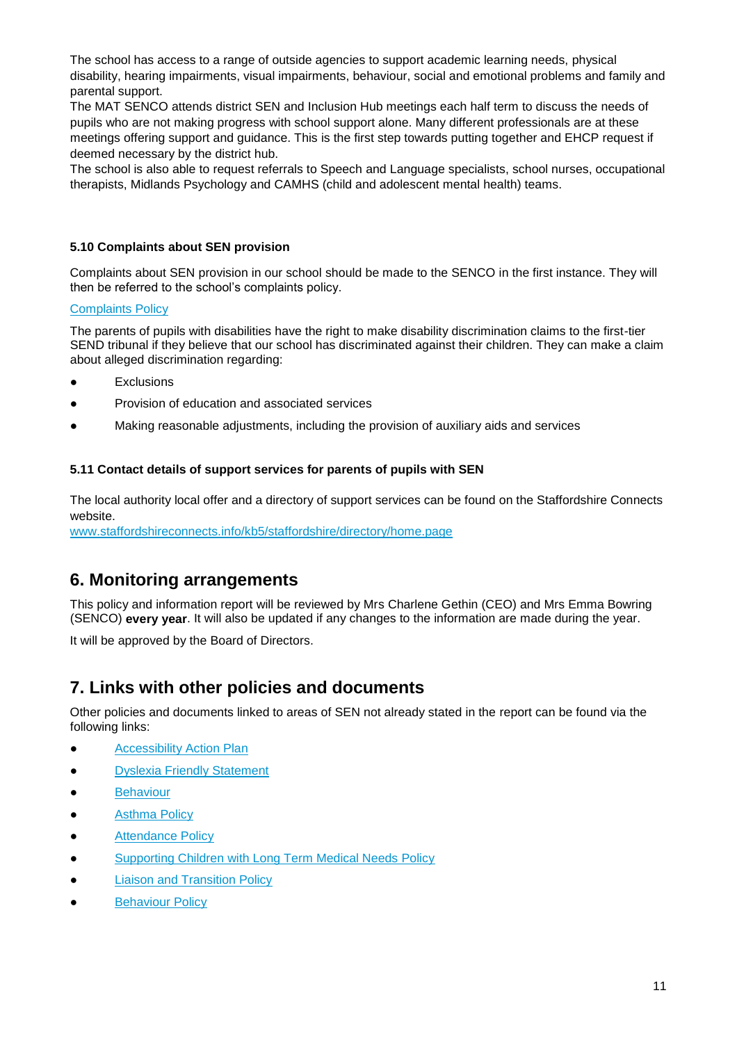The school has access to a range of outside agencies to support academic learning needs, physical disability, hearing impairments, visual impairments, behaviour, social and emotional problems and family and parental support.

The MAT SENCO attends district SEN and Inclusion Hub meetings each half term to discuss the needs of pupils who are not making progress with school support alone. Many different professionals are at these meetings offering support and guidance. This is the first step towards putting together and EHCP request if deemed necessary by the district hub.

The school is also able to request referrals to Speech and Language specialists, school nurses, occupational therapists, Midlands Psychology and CAMHS (child and adolescent mental health) teams.

#### **5.10 Complaints about SEN provision**

Complaints about SEN provision in our school should be made to the SENCO in the first instance. They will then be referred to the school's complaints policy.

#### [Complaints Policy](https://www.tssmat.staffs.sch.uk/admin/ckfinder/userfiles/files/Complaints%20Policy.pdf)

The parents of pupils with disabilities have the right to make disability discrimination claims to the first-tier SEND tribunal if they believe that our school has discriminated against their children. They can make a claim about alleged discrimination regarding:

- **Exclusions**
- Provision of education and associated services
- Making reasonable adjustments, including the provision of auxiliary aids and services

#### **5.11 Contact details of support services for parents of pupils with SEN**

The local authority local offer and a directory of support services can be found on the Staffordshire Connects website.

[www.staffordshireconnects.info/kb5/staffordshire/directory/home.page](http://www.staffordshireconnects.info/kb5/staffordshire/directory/home.page)

# **6. Monitoring arrangements**

This policy and information report will be reviewed by Mrs Charlene Gethin (CEO) and Mrs Emma Bowring (SENCO) **every year**. It will also be updated if any changes to the information are made during the year.

It will be approved by the Board of Directors.

## **7. Links with other policies and documents**

Other policies and documents linked to areas of SEN not already stated in the report can be found via the following links:

- [Accessibility Action Plan](https://www.tssmat.staffs.sch.uk/admin/ckfinder/userfiles/files/TSSMAT%20DDA%20Policy%202015%20-%202018%20V1.doc)
- [Dyslexia Friendly Statement](https://www.tssmat.staffs.sch.uk/admin/ckfinder/userfiles/files/Dyslexia%20Friendly%20Statement.pdf)
- **[Behaviour](https://8603440.sharepoint.com/:f:/g/policies/Emwtle6nTVVMgxVDQwZK1KIBFFDUmxbCirgL1xGPgPEoSw?e=AKyNjz)**
- [Asthma Policy](https://www.tssmat.staffs.sch.uk/admin/ckfinder/userfiles/files/Asthma%20Policy.pdf)
- [Attendance Policy](https://www.tssmat.staffs.sch.uk/admin/ckfinder/userfiles/files/Attendance%20Policy.pdf)
- [Supporting Children with Long Term Medical Needs Policy](https://www.tssmat.staffs.sch.uk/admin/ckfinder/userfiles/files/Supporting%20Pupils%20with%20Medical%20Conditions%20Policy.pdf)
- **[Liaison and Transition Policy](https://www.tssmat.staffs.sch.uk/admin/ckfinder/userfiles/files/Liaison%20%26%20Transition%20Policy.pdf)**
- **•** [Behaviour Policy](https://www.tssmat.staffs.sch.uk/admin/ckfinder/userfiles/files/Behaviour%20Policy.pdf)